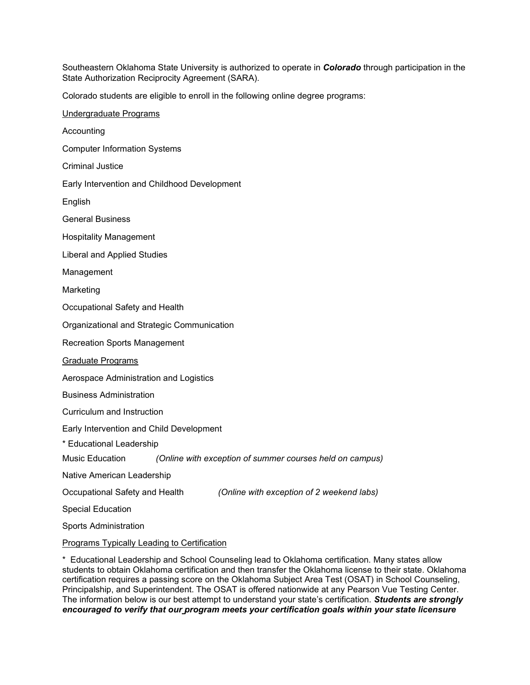Southeastern Oklahoma State University is authorized to operate in *Colorado* through participation in the State Authorization Reciprocity Agreement (SARA).

Colorado students are eligible to enroll in the following online degree programs:

Undergraduate Programs Accounting Computer Information Systems Criminal Justice Early Intervention and Childhood Development English General Business Hospitality Management Liberal and Applied Studies Management Marketing Occupational Safety and Health Organizational and Strategic Communication Recreation Sports Management Graduate Programs Aerospace Administration and Logistics Business Administration Curriculum and Instruction Early Intervention and Child Development \* Educational Leadership Music Education *(Online with exception of summer courses held on campus)* Native American Leadership Occupational Safety and Health *(Online with exception of 2 weekend labs)* Special Education Sports Administration Programs Typically Leading to Certification

\* Educational Leadership and School Counseling lead to Oklahoma certification. Many states allow students to obtain Oklahoma certification and then transfer the Oklahoma license to their state. Oklahoma certification requires a passing score on the Oklahoma Subject Area Test (OSAT) in School Counseling, Principalship, and Superintendent. The OSAT is offered nationwide at any Pearson Vue Testing Center. The information below is our best attempt to understand your state's certification. *Students are strongly encouraged to verify that our program meets your certification goals within your state licensure*